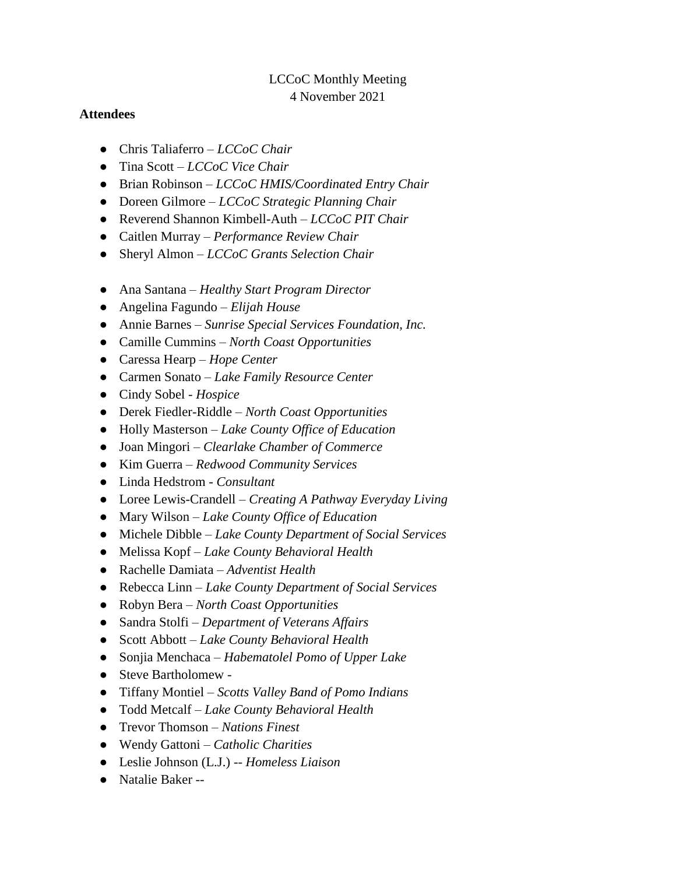## LCCoC Monthly Meeting 4 November 2021

### **Attendees**

- Chris Taliaferro *LCCoC Chair*
- Tina Scott *LCCoC Vice Chair*
- Brian Robinson *LCCoC HMIS/Coordinated Entry Chair*
- Doreen Gilmore *LCCoC Strategic Planning Chair*
- Reverend Shannon Kimbell-Auth *LCCoC PIT Chair*
- Caitlen Murray *Performance Review Chair*
- Sheryl Almon *LCCoC Grants Selection Chair*
- Ana Santana *Healthy Start Program Director*
- Angelina Fagundo *Elijah House*
- Annie Barnes *Sunrise Special Services Foundation, Inc.*
- Camille Cummins *North Coast Opportunities*
- Caressa Hearp *Hope Center*
- Carmen Sonato *Lake Family Resource Center*
- Cindy Sobel *Hospice*
- Derek Fiedler-Riddle *North Coast Opportunities*
- Holly Masterson *Lake County Office of Education*
- Joan Mingori *Clearlake Chamber of Commerce*
- Kim Guerra *Redwood Community Services*
- Linda Hedstrom *Consultant*
- Loree Lewis-Crandell *Creating A Pathway Everyday Living*
- Mary Wilson *Lake County Office of Education*
- Michele Dibble *Lake County Department of Social Services*
- Melissa Kopf *Lake County Behavioral Health*
- Rachelle Damiata *Adventist Health*
- Rebecca Linn *Lake County Department of Social Services*
- Robyn Bera *North Coast Opportunities*
- Sandra Stolfi *Department of Veterans Affairs*
- Scott Abbott *Lake County Behavioral Health*
- Sonjia Menchaca *Habematolel Pomo of Upper Lake*
- Steve Bartholomew -
- Tiffany Montiel *Scotts Valley Band of Pomo Indians*
- Todd Metcalf *Lake County Behavioral Health*
- Trevor Thomson *Nations Finest*
- Wendy Gattoni *Catholic Charities*
- Leslie Johnson (L.J.) -- *Homeless Liaison*
- Natalie Baker --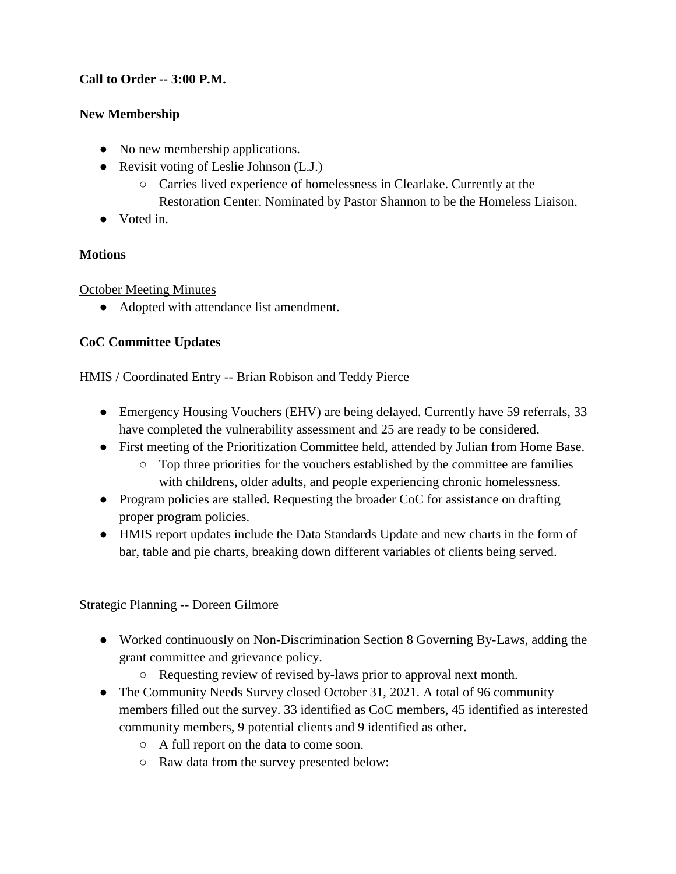## **Call to Order -- 3:00 P.M.**

## **New Membership**

- No new membership applications.
- Revisit voting of Leslie Johnson (L.J.)
	- Carries lived experience of homelessness in Clearlake. Currently at the Restoration Center. Nominated by Pastor Shannon to be the Homeless Liaison.
- Voted in.

## **Motions**

October Meeting Minutes

● Adopted with attendance list amendment.

# **CoC Committee Updates**

## HMIS / Coordinated Entry -- Brian Robison and Teddy Pierce

- Emergency Housing Vouchers (EHV) are being delayed. Currently have 59 referrals, 33 have completed the vulnerability assessment and 25 are ready to be considered.
- First meeting of the Prioritization Committee held, attended by Julian from Home Base.
	- Top three priorities for the vouchers established by the committee are families with childrens, older adults, and people experiencing chronic homelessness.
- Program policies are stalled. Requesting the broader CoC for assistance on drafting proper program policies.
- HMIS report updates include the Data Standards Update and new charts in the form of bar, table and pie charts, breaking down different variables of clients being served.

# Strategic Planning -- Doreen Gilmore

- Worked continuously on Non-Discrimination Section 8 Governing By-Laws, adding the grant committee and grievance policy.
	- Requesting review of revised by-laws prior to approval next month.
- The Community Needs Survey closed October 31, 2021. A total of 96 community members filled out the survey. 33 identified as CoC members, 45 identified as interested community members, 9 potential clients and 9 identified as other.
	- A full report on the data to come soon.
	- Raw data from the survey presented below: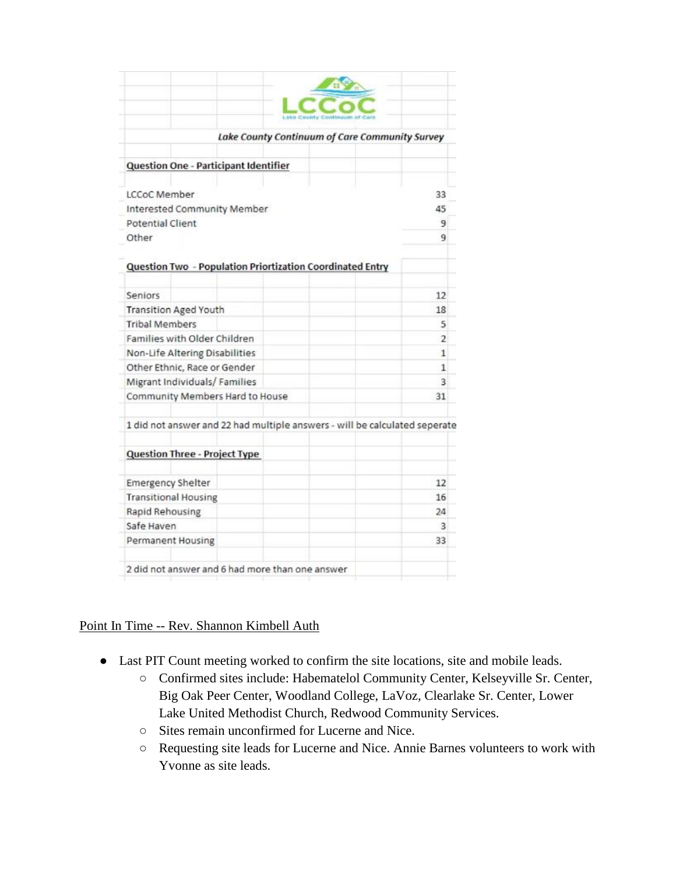| Lake County Continuum of Care Community Survey                             |                |
|----------------------------------------------------------------------------|----------------|
| Question One - Participant Identifier                                      |                |
| LCCoC Member                                                               | 33             |
|                                                                            | 45             |
| Interested Community Member<br>Potential Client                            | 9              |
| Other                                                                      | ۹              |
|                                                                            |                |
| Question Two - Population Priortization Coordinated Entry                  |                |
|                                                                            |                |
| Seniors                                                                    | 12             |
| <b>Transition Aged Youth</b>                                               | 18             |
| <b>Tribal Members</b>                                                      | 5              |
| Families with Older Children                                               | $\overline{2}$ |
| Non-Life Altering Disabilities                                             | 1              |
| Other Ethnic, Race or Gender                                               | 1              |
| Migrant Individuals/Families                                               | 3              |
| Community Members Hard to House                                            | 31             |
| 1 did not answer and 22 had multiple answers - will be calculated seperate |                |
| <b>Question Three - Project Type</b>                                       |                |
| <b>Emergency Shelter</b>                                                   | 12             |
| <b>Transitional Housing</b>                                                | 16             |
| Rapid Rehousing                                                            | 24             |
| Safe Haven                                                                 | 3              |
| Permanent Housing                                                          | 33             |
|                                                                            |                |

### Point In Time -- Rev. Shannon Kimbell Auth

- Last PIT Count meeting worked to confirm the site locations, site and mobile leads.
	- Confirmed sites include: Habematelol Community Center, Kelseyville Sr. Center, Big Oak Peer Center, Woodland College, LaVoz, Clearlake Sr. Center, Lower Lake United Methodist Church, Redwood Community Services.
	- Sites remain unconfirmed for Lucerne and Nice.
	- Requesting site leads for Lucerne and Nice. Annie Barnes volunteers to work with Yvonne as site leads.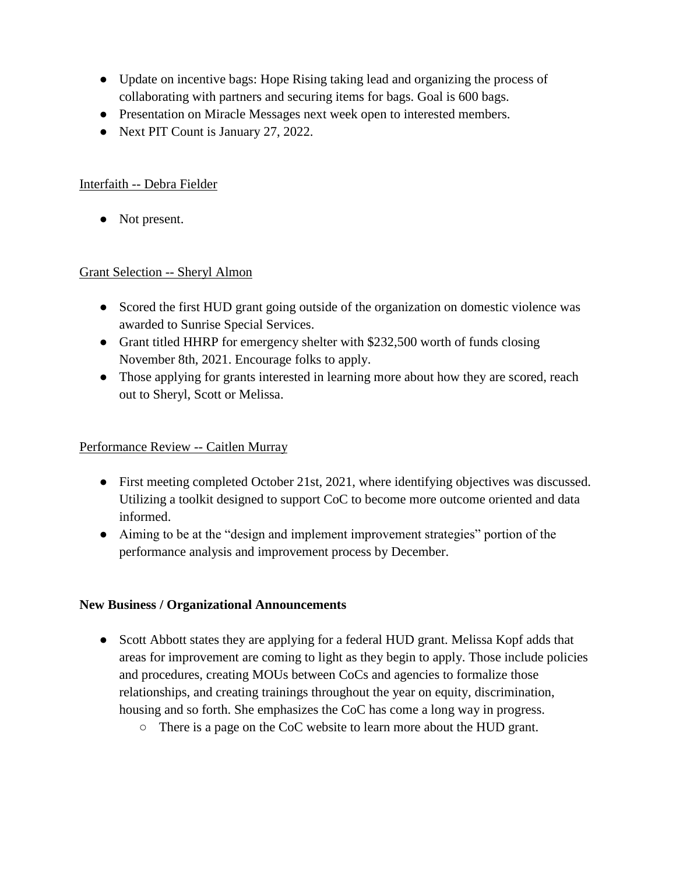- Update on incentive bags: Hope Rising taking lead and organizing the process of collaborating with partners and securing items for bags. Goal is 600 bags.
- Presentation on Miracle Messages next week open to interested members.
- Next PIT Count is January 27, 2022.

### Interfaith -- Debra Fielder

• Not present.

### Grant Selection -- Sheryl Almon

- Scored the first HUD grant going outside of the organization on domestic violence was awarded to Sunrise Special Services.
- Grant titled HHRP for emergency shelter with \$232,500 worth of funds closing November 8th, 2021. Encourage folks to apply.
- Those applying for grants interested in learning more about how they are scored, reach out to Sheryl, Scott or Melissa.

#### Performance Review -- Caitlen Murray

- First meeting completed October 21st, 2021, where identifying objectives was discussed. Utilizing a toolkit designed to support CoC to become more outcome oriented and data informed.
- Aiming to be at the "design and implement improvement strategies" portion of the performance analysis and improvement process by December.

#### **New Business / Organizational Announcements**

- Scott Abbott states they are applying for a federal HUD grant. Melissa Kopf adds that areas for improvement are coming to light as they begin to apply. Those include policies and procedures, creating MOUs between CoCs and agencies to formalize those relationships, and creating trainings throughout the year on equity, discrimination, housing and so forth. She emphasizes the CoC has come a long way in progress.
	- There is a page on the CoC website to learn more about the HUD grant.